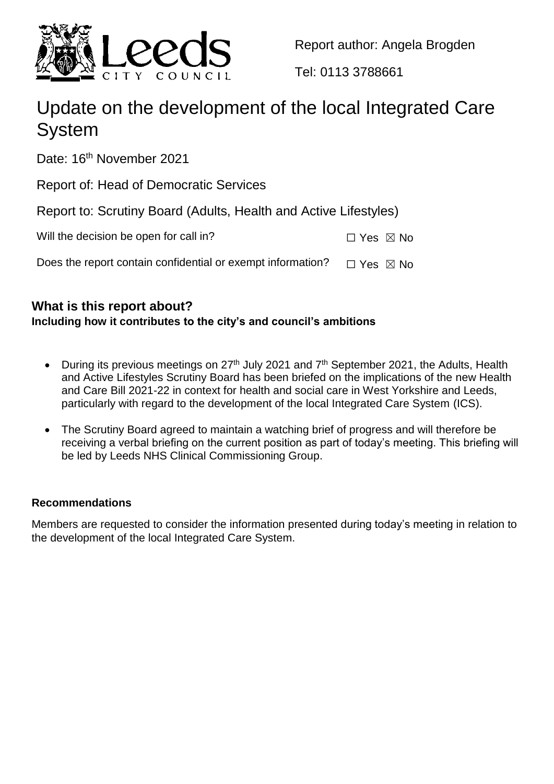

Report author: Angela Brogden

Tel: 0113 3788661

# Update on the development of the local Integrated Care System

Date: 16<sup>th</sup> November 2021

Report of: Head of Democratic Services

Report to: Scrutiny Board (Adults, Health and Active Lifestyles)

Does the report contain confidential or exempt information?  $□$  Yes  $□$  No

# **What is this report about?**

# **Including how it contributes to the city's and council's ambitions**

- During its previous meetings on  $27<sup>th</sup>$  July 2021 and  $7<sup>th</sup>$  September 2021, the Adults, Health and Active Lifestyles Scrutiny Board has been briefed on the implications of the new Health and Care Bill 2021-22 in context for health and social care in West Yorkshire and Leeds, particularly with regard to the development of the local Integrated Care System (ICS).
- The Scrutiny Board agreed to maintain a watching brief of progress and will therefore be receiving a verbal briefing on the current position as part of today's meeting. This briefing will be led by Leeds NHS Clinical Commissioning Group.

# **Recommendations**

Members are requested to consider the information presented during today's meeting in relation to the development of the local Integrated Care System.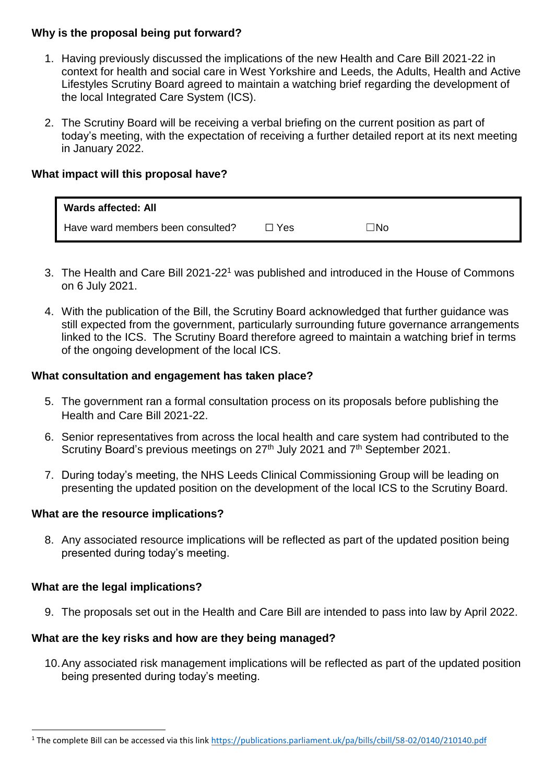### **Why is the proposal being put forward?**

- 1. Having previously discussed the implications of the new Health and Care Bill 2021-22 in context for health and social care in West Yorkshire and Leeds, the Adults, Health and Active Lifestyles Scrutiny Board agreed to maintain a watching brief regarding the development of the local Integrated Care System (ICS).
- 2. The Scrutiny Board will be receiving a verbal briefing on the current position as part of today's meeting, with the expectation of receiving a further detailed report at its next meeting in January 2022.

### **What impact will this proposal have?**

| <b>Wards affected: All</b>        |       |     |  |
|-----------------------------------|-------|-----|--|
| Have ward members been consulted? | コ Yes | ∃No |  |

- 3. The Health and Care Bill 2021-22<sup>1</sup> was published and introduced in the House of Commons on 6 July 2021.
- 4. With the publication of the Bill, the Scrutiny Board acknowledged that further guidance was still expected from the government, particularly surrounding future governance arrangements linked to the ICS. The Scrutiny Board therefore agreed to maintain a watching brief in terms of the ongoing development of the local ICS.

#### **What consultation and engagement has taken place?**

- 5. The government ran a formal consultation process on its proposals before publishing the Health and Care Bill 2021-22.
- 6. Senior representatives from across the local health and care system had contributed to the Scrutiny Board's previous meetings on 27<sup>th</sup> July 2021 and 7<sup>th</sup> September 2021.
- 7. During today's meeting, the NHS Leeds Clinical Commissioning Group will be leading on presenting the updated position on the development of the local ICS to the Scrutiny Board.

#### **What are the resource implications?**

8. Any associated resource implications will be reflected as part of the updated position being presented during today's meeting.

#### **What are the legal implications?**

 $\overline{a}$ 

9. The proposals set out in the Health and Care Bill are intended to pass into law by April 2022.

#### **What are the key risks and how are they being managed?**

10.Any associated risk management implications will be reflected as part of the updated position being presented during today's meeting.

<sup>1</sup> The complete Bill can be accessed via this link<https://publications.parliament.uk/pa/bills/cbill/58-02/0140/210140.pdf>